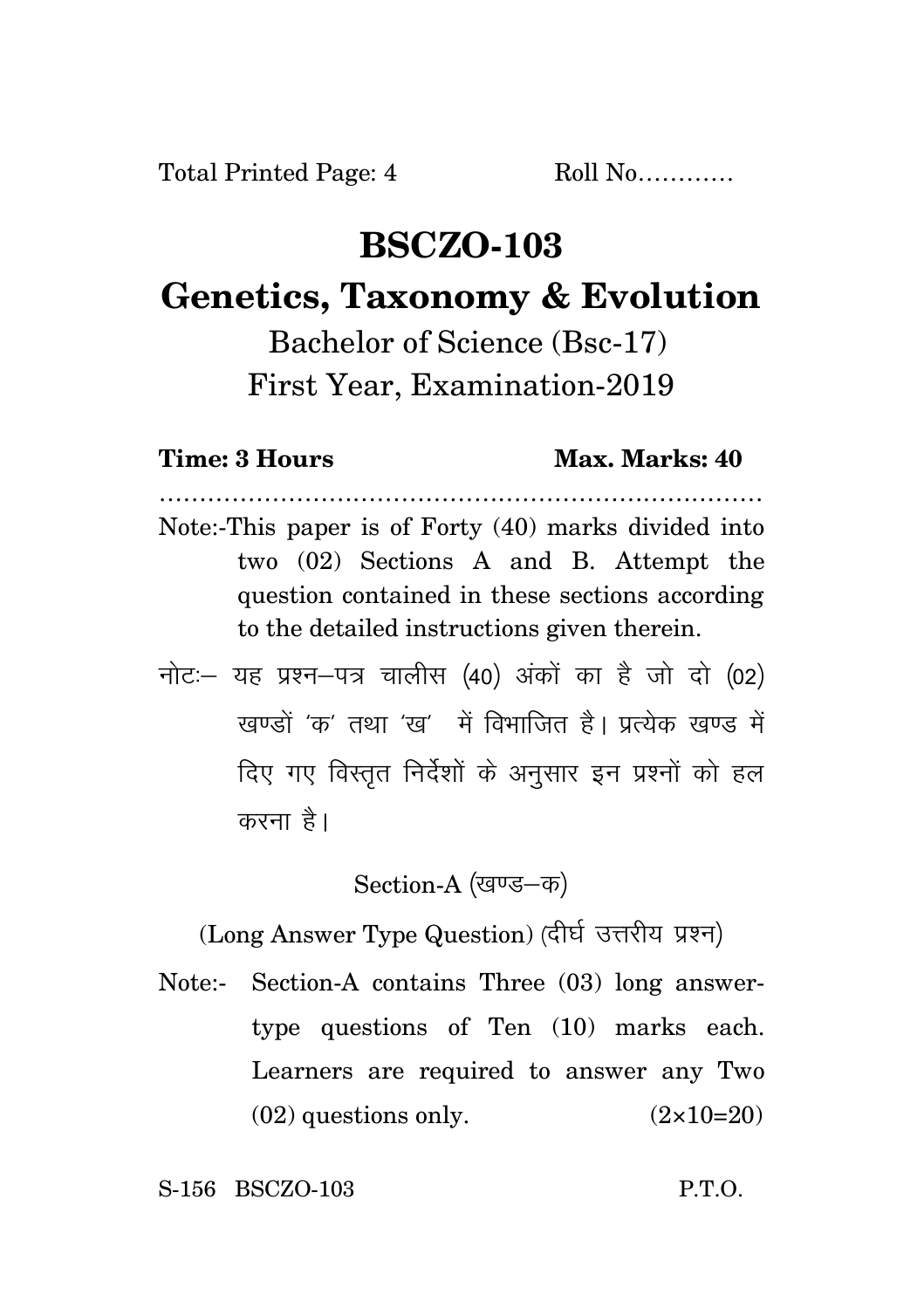## **BSCZO-103**

## **Genetics, Taxonomy & Evolution**

Bachelor of Science (Bsc-17) First Year, Examination-2019

## **Time: 3 Hours Max. Marks: 40**

Note:-This paper is of Forty (40) marks divided into two (02) Sections A and B. Attempt the question contained in these sections according to the detailed instructions given therein.

…………………………………………………………………

नोट: यह प्रश्न-पत्र चालीस (40) अंकों का है जो दो (02) रवण्डों 'क' तथा 'रव' में विभाजित है। प्रत्येक रवण्ड में दिए गए विस्तुत निर्देशों के अनुसार इन प्रश्नों को हल करना है।

Section-A (खण्ड-क)

(Long Answer Type Question) (दीर्घ उत्तरीय प्रश्न)

Note:- Section-A contains Three (03) long answertype questions of Ten (10) marks each. Learners are required to answer any Two  $(02)$  questions only.  $(2 \times 10=20)$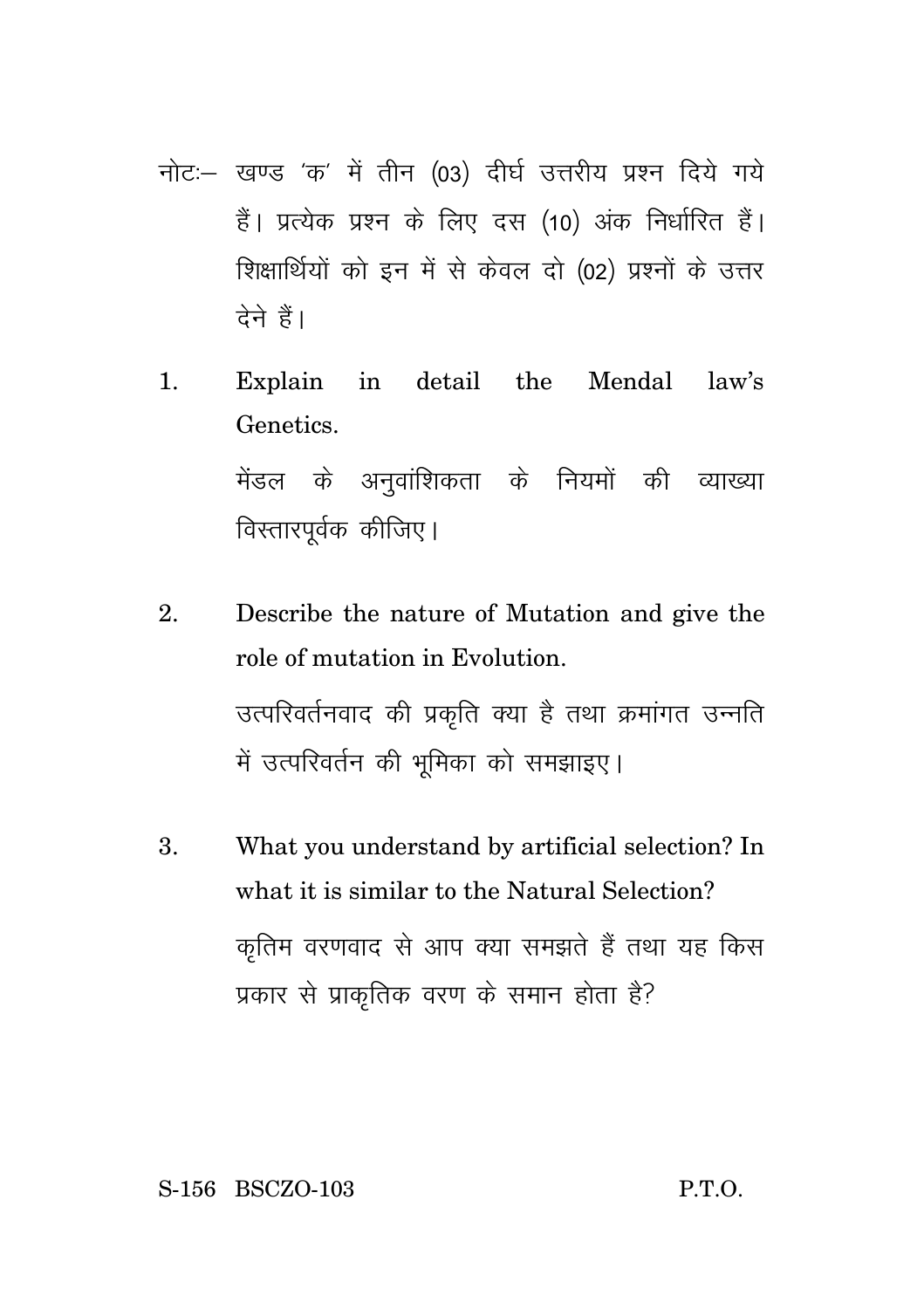- नोट :- खण्ड 'क' में तीन (03) दीर्घ उत्तरीय प्रश्न दिये गये हैं। प्रत्येक प्रश्न के लिए दस (10) अंक निर्धारित हैं। शिक्षार्थियों को इन में से केवल दो (02) प्रश्नों के उत्तर टेने हैं।
- Explain in detail the Mendal law's  $\mathbf{1}$ . Genetics. मेंडल के अनवांशिकता के नियमों की व्याख्या विस्तारपूर्वक कीजिए।
- Describe the nature of Mutation and give the  $2^{1}$ role of mutation in Evolution. उत्परिवर्तनवाद की प्रकृति क्या है तथा क्रमांगत उन्नति में उत्परिवर्तन की भूमिका को समझाइए।
- 3. What you understand by artificial selection? In what it is similar to the Natural Selection? कृतिम वरणवाद से आप क्या समझते हैं तथा यह किस प्रकार से प्राकृतिक वरण के समान होता है?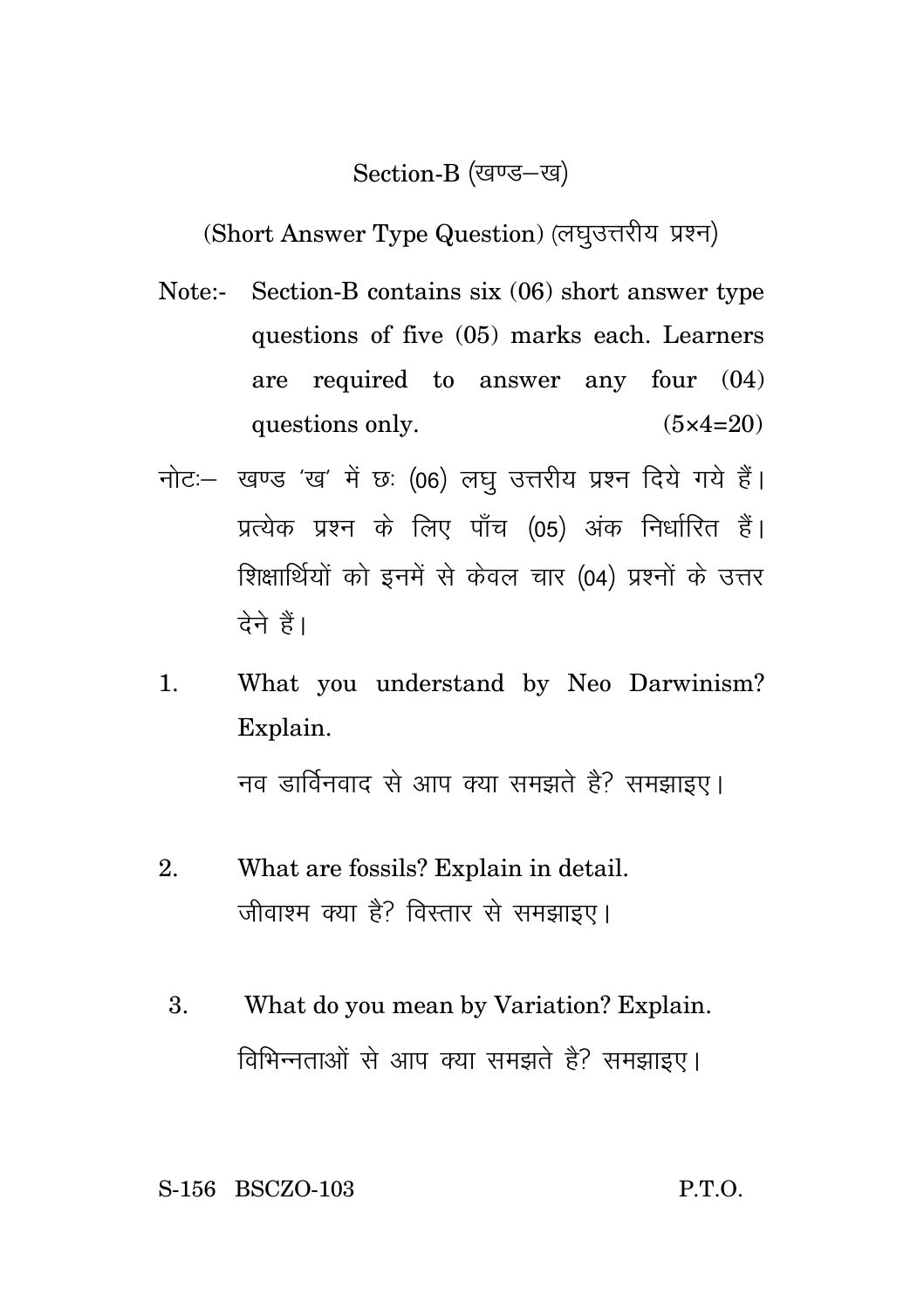## Section-B (खण्ड-ख)

(Short Answer Type Question) (लघुउत्तरीय प्रश्न)

- Note:- Section-B contains six (06) short answer type questions of five (05) marks each. Learners are required to answer any four (04) questions only.  $(5 \times 4=20)$
- नोट: खण्ड 'ख' में छः (06) लघु उत्तरीय प्रश्न दिये गये हैं। प्रत्येक प्रश्न के लिए पाँच (05) अंक निर्धारित हैं। शिक्षार्थियों को इनमें से केवल चार (04) प्रश्नों के उत्तर देने हैं।
- 1. What you understand by Neo Darwinism? Explain. नव डार्विनवाद से आप क्या समझते हैं? समझाइए।
- 2. What are fossils? Explain in detail. जीवाश्म क्या है? विस्तार से समझाइए।
	- 3. What do you mean by Variation? Explain. विभिन्नताओं से आप क्या समझते है? समझाइए।

S-156 BSCZO-103 P.T.O.